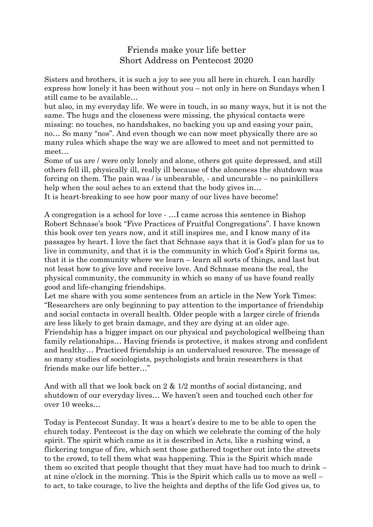## Friends make your life better Short Address on Pentecost 2020

Sisters and brothers, it is such a joy to see you all here in church. I can hardly express how lonely it has been without you – not only in here on Sundays when I still came to be available…

but also, in my everyday life. We were in touch, in so many ways, but it is not the same. The hugs and the closeness were missing, the physical contacts were missing: no touches, no handshakes, no backing you up and easing your pain, no… So many "nos". And even though we can now meet physically there are so many rules which shape the way we are allowed to meet and not permitted to meet…

Some of us are / were only lonely and alone, others got quite depressed, and still others fell ill, physically ill, really ill because of the aloneness the shutdown was forcing on them. The pain was / is unbearable, - and uncurable – no painkillers help when the soul aches to an extend that the body gives in...

It is heart-breaking to see how poor many of our lives have become!

A congregation is a school for love - …I came across this sentence in Bishop Robert Schnase's book "Five Practices of Fruitful Congregations". I have known this book over ten years now, and it still inspires me, and I know many of its passages by heart. I love the fact that Schnase says that it is God's plan for us to live in community, and that it is the community in which God's Spirit forms us, that it is the community where we learn – learn all sorts of things, and last but not least how to give love and receive love. And Schnase means the real, the physical community, the community in which so many of us have found really good and life-changing friendships.

Let me share with you some sentences from an article in the New York Times: "Researchers are only beginning to pay attention to the importance of friendship and social contacts in overall health. Older people with a larger circle of friends are less likely to get brain damage, and they are dying at an older age. Friendship has a bigger impact on our physical and psychological wellbeing than family relationships… Having friends is protective, it makes strong and confident and healthy… Practiced friendship is an undervalued resource. The message of so many studies of sociologists, psychologists and brain researchers is that friends make our life better…"

And with all that we look back on 2 & 1/2 months of social distancing, and shutdown of our everyday lives… We haven't seen and touched each other for over 10 weeks…

Today is Pentecost Sunday. It was a heart's desire to me to be able to open the church today. Pentecost is the day on which we celebrate the coming of the holy spirit. The spirit which came as it is described in Acts, like a rushing wind, a flickering tongue of fire, which sent those gathered together out into the streets to the crowd, to tell them what was happening. This is the Spirit which made them so excited that people thought that they must have had too much to drink – at nine o'clock in the morning. This is the Spirit which calls us to move as well – to act, to take courage, to live the heights and depths of the life God gives us, to